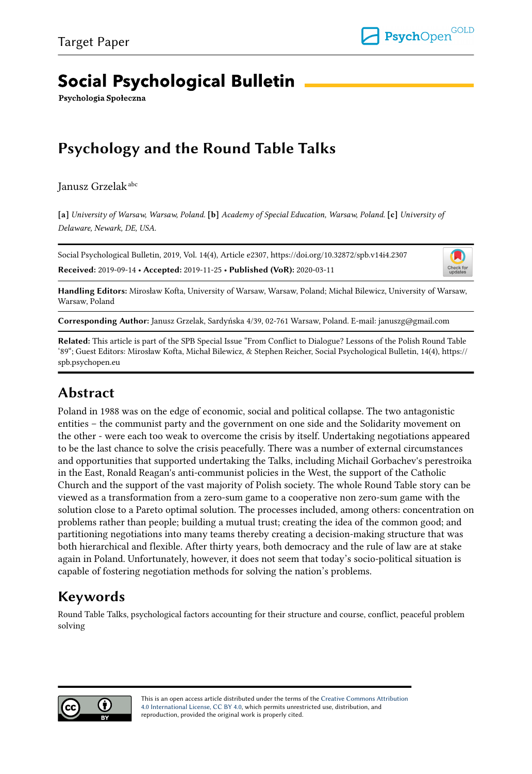# **Social Psychological Bulletin**

Psychologia Społeczna

# Psychology and the Round Table Talks

Janusz Grzelak<sup>abc</sup>

[a] University of Warsaw, Warsaw, Poland. [b] Academy of Special Education, Warsaw, Poland. [c] University of Delaware, Newark, DE, USA.

Social Psychological Bulletin, 2019, Vol. 14(4), Article e2307, https://doi.org/10.32872/spb.v14i4.2307 Received: 2019-09-14 • Accepted: 2019-11-25 • Published (VoR): 2020-03-11



Handling Editors: Mirosław Kofta, University of Warsaw, Warsaw, Poland; Michał Bilewicz, University of Warsaw, Warsaw, Poland

Corresponding Author: Janusz Grzelak, Sardyńska 4/39, 02-761 Warsaw, Poland. E-mail: januszg@gmail.com

Related: This article is part of the SPB Special Issue "From Conflict to Dialogue? Lessons of the Polish Round Table '89"; Guest Editors: Mirosław Kofta, Michał Bilewicz, & Stephen Reicher, Social Psychological Bulletin, 14(4), https:// spb.psychopen.eu

# Abstract

Poland in 1988 was on the edge of economic, social and political collapse. The two antagonistic entities – the communist party and the government on one side and the Solidarity movement on the other - were each too weak to overcome the crisis by itself. Undertaking negotiations appeared to be the last chance to solve the crisis peacefully. There was a number of external circumstances and opportunities that supported undertaking the Talks, including Michail Gorbachev's perestroika in the East, Ronald Reagan's anti-communist policies in the West, the support of the Catholic Church and the support of the vast majority of Polish society. The whole Round Table story can be viewed as a transformation from a zero-sum game to a cooperative non zero-sum game with the solution close to a Pareto optimal solution. The processes included, among others: concentration on problems rather than people; building a mutual trust; creating the idea of the common good; and partitioning negotiations into many teams thereby creating a decision-making structure that was both hierarchical and flexible. After thirty years, both democracy and the rule of law are at stake again in Poland. Unfortunately, however, it does not seem that today's socio-political situation is capable of fostering negotiation methods for solving the nation's problems.

# Keywords

Round Table Talks, psychological factors accounting for their structure and course, conflict, peaceful problem solving



This is an open access article distributed under the terms of the [Creative Commons Attribution](https://creativecommons.org/licenses/by/4.0/) [4.0 International License, CC BY 4.0,](https://creativecommons.org/licenses/by/4.0/) which permits unrestricted use, distribution, and reproduction, provided the original work is properly cited.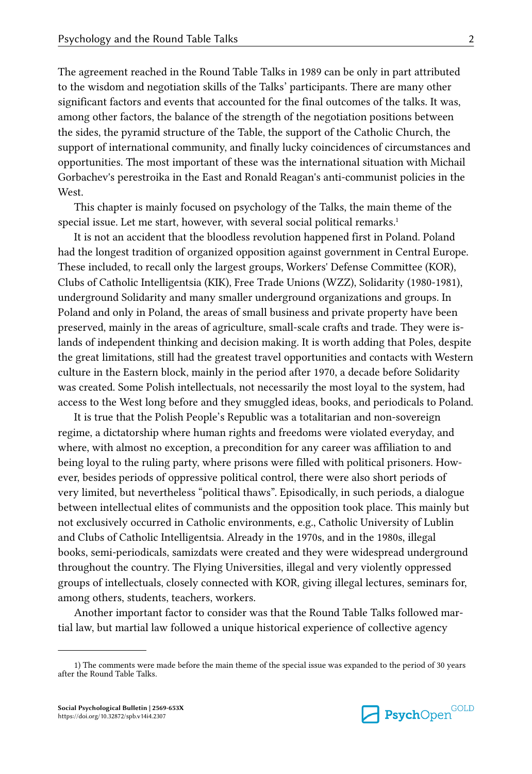The agreement reached in the Round Table Talks in 1989 can be only in part attributed to the wisdom and negotiation skills of the Talks' participants. There are many other significant factors and events that accounted for the final outcomes of the talks. It was, among other factors, the balance of the strength of the negotiation positions between the sides, the pyramid structure of the Table, the support of the Catholic Church, the support of international community, and finally lucky coincidences of circumstances and opportunities. The most important of these was the international situation with Michail Gorbachev's perestroika in the East and Ronald Reagan's anti-communist policies in the West.

This chapter is mainly focused on psychology of the Talks, the main theme of the special issue. Let me start, however, with several social political remarks.<sup>1</sup>

It is not an accident that the bloodless revolution happened first in Poland. Poland had the longest tradition of organized opposition against government in Central Europe. These included, to recall only the largest groups, Workers' Defense Committee (KOR), Clubs of Catholic Intelligentsia (KIK), Free Trade Unions (WZZ), Solidarity (1980-1981), underground Solidarity and many smaller underground organizations and groups. In Poland and only in Poland, the areas of small business and private property have been preserved, mainly in the areas of agriculture, small-scale crafts and trade. They were is‐ lands of independent thinking and decision making. It is worth adding that Poles, despite the great limitations, still had the greatest travel opportunities and contacts with Western culture in the Eastern block, mainly in the period after 1970, a decade before Solidarity was created. Some Polish intellectuals, not necessarily the most loyal to the system, had access to the West long before and they smuggled ideas, books, and periodicals to Poland.

It is true that the Polish People's Republic was a totalitarian and non-sovereign regime, a dictatorship where human rights and freedoms were violated everyday, and where, with almost no exception, a precondition for any career was affiliation to and being loyal to the ruling party, where prisons were filled with political prisoners. However, besides periods of oppressive political control, there were also short periods of very limited, but nevertheless "political thaws". Episodically, in such periods, a dialogue between intellectual elites of communists and the opposition took place. This mainly but not exclusively occurred in Catholic environments, e.g., Catholic University of Lublin and Clubs of Catholic Intelligentsia. Already in the 1970s, and in the 1980s, illegal books, semi-periodicals, samizdats were created and they were widespread underground throughout the country. The Flying Universities, illegal and very violently oppressed groups of intellectuals, closely connected with KOR, giving illegal lectures, seminars for, among others, students, teachers, workers.

Another important factor to consider was that the Round Table Talks followed mar‐ tial law, but martial law followed a unique historical experience of collective agency



<sup>1)</sup> The comments were made before the main theme of the special issue was expanded to the period of 30 years after the Round Table Talks.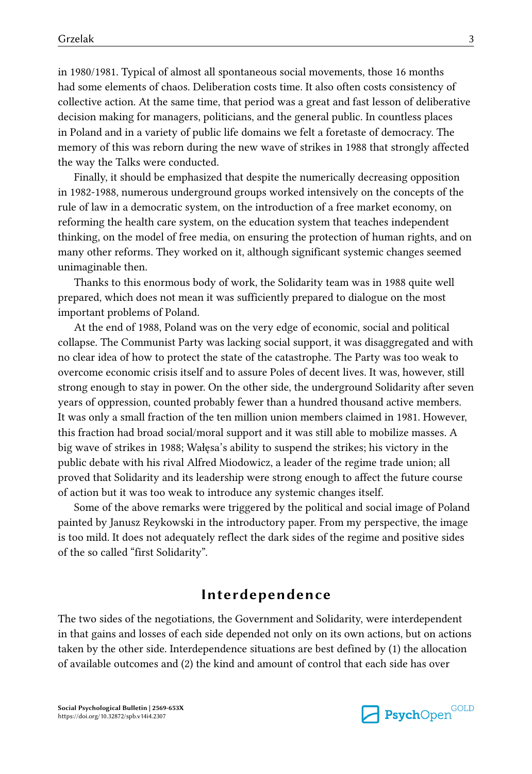in 1980/1981. Typical of almost all spontaneous social movements, those 16 months had some elements of chaos. Deliberation costs time. It also often costs consistency of collective action. At the same time, that period was a great and fast lesson of deliberative decision making for managers, politicians, and the general public. In countless places in Poland and in a variety of public life domains we felt a foretaste of democracy. The memory of this was reborn during the new wave of strikes in 1988 that strongly affected the way the Talks were conducted.

Finally, it should be emphasized that despite the numerically decreasing opposition in 1982-1988, numerous underground groups worked intensively on the concepts of the rule of law in a democratic system, on the introduction of a free market economy, on reforming the health care system, on the education system that teaches independent thinking, on the model of free media, on ensuring the protection of human rights, and on many other reforms. They worked on it, although significant systemic changes seemed unimaginable then.

Thanks to this enormous body of work, the Solidarity team was in 1988 quite well prepared, which does not mean it was sufficiently prepared to dialogue on the most important problems of Poland.

At the end of 1988, Poland was on the very edge of economic, social and political collapse. The Communist Party was lacking social support, it was disaggregated and with no clear idea of how to protect the state of the catastrophe. The Party was too weak to overcome economic crisis itself and to assure Poles of decent lives. It was, however, still strong enough to stay in power. On the other side, the underground Solidarity after seven years of oppression, counted probably fewer than a hundred thousand active members. It was only a small fraction of the ten million union members claimed in 1981. However, this fraction had broad social/moral support and it was still able to mobilize masses. A big wave of strikes in 1988; Wałęsa's ability to suspend the strikes; his victory in the public debate with his rival Alfred Miodowicz, a leader of the regime trade union; all proved that Solidarity and its leadership were strong enough to affect the future course of action but it was too weak to introduce any systemic changes itself.

Some of the above remarks were triggered by the political and social image of Poland painted by Janusz Reykowski in the introductory paper. From my perspective, the image is too mild. It does not adequately reflect the dark sides of the regime and positive sides of the so called "first Solidarity".

# Interdependence

The two sides of the negotiations, the Government and Solidarity, were interdependent in that gains and losses of each side depended not only on its own actions, but on actions taken by the other side. Interdependence situations are best defined by (1) the allocation of available outcomes and (2) the kind and amount of control that each side has over

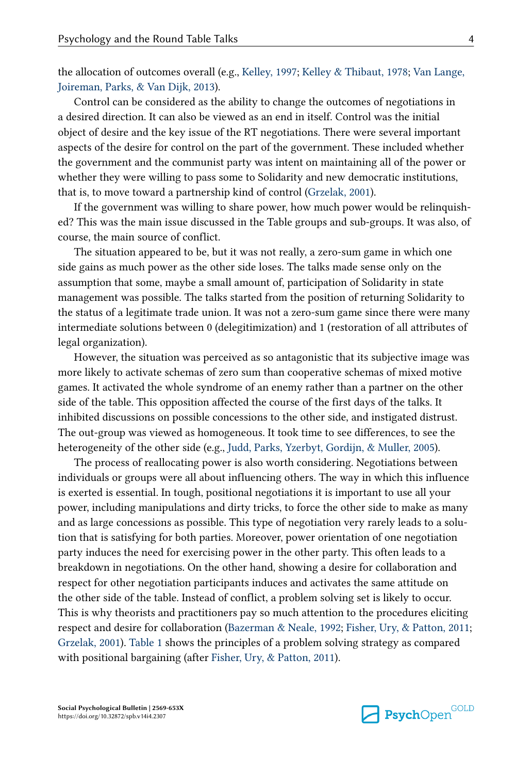the allocation of outcomes overall (e.g., [Kelley, 1997](#page-12-0); [Kelley & Thibaut, 1978;](#page-12-0) [Van Lange,](#page-12-0) [Joireman, Parks, & Van Dijk, 2013\)](#page-12-0).

Control can be considered as the ability to change the outcomes of negotiations in a desired direction. It can also be viewed as an end in itself. Control was the initial object of desire and the key issue of the RT negotiations. There were several important aspects of the desire for control on the part of the government. These included whether the government and the communist party was intent on maintaining all of the power or whether they were willing to pass some to Solidarity and new democratic institutions, that is, to move toward a partnership kind of control [\(Grzelak, 2001\)](#page-11-0).

If the government was willing to share power, how much power would be relinquished? This was the main issue discussed in the Table groups and sub-groups. It was also, of course, the main source of conflict.

The situation appeared to be, but it was not really, a zero-sum game in which one side gains as much power as the other side loses. The talks made sense only on the assumption that some, maybe a small amount of, participation of Solidarity in state management was possible. The talks started from the position of returning Solidarity to the status of a legitimate trade union. It was not a zero-sum game since there were many intermediate solutions between 0 (delegitimization) and 1 (restoration of all attributes of legal organization).

However, the situation was perceived as so antagonistic that its subjective image was more likely to activate schemas of zero sum than cooperative schemas of mixed motive games. It activated the whole syndrome of an enemy rather than a partner on the other side of the table. This opposition affected the course of the first days of the talks. It inhibited discussions on possible concessions to the other side, and instigated distrust. The out-group was viewed as homogeneous. It took time to see differences, to see the heterogeneity of the other side (e.g., [Judd, Parks, Yzerbyt, Gordijn, & Muller, 2005](#page-11-0)).

The process of reallocating power is also worth considering. Negotiations between individuals or groups were all about influencing others. The way in which this influence is exerted is essential. In tough, positional negotiations it is important to use all your power, including manipulations and dirty tricks, to force the other side to make as many and as large concessions as possible. This type of negotiation very rarely leads to a solution that is satisfying for both parties. Moreover, power orientation of one negotiation party induces the need for exercising power in the other party. This often leads to a breakdown in negotiations. On the other hand, showing a desire for collaboration and respect for other negotiation participants induces and activates the same attitude on the other side of the table. Instead of conflict, a problem solving set is likely to occur. This is why theorists and practitioners pay so much attention to the procedures eliciting respect and desire for collaboration ([Bazerman & Neale, 1992;](#page-11-0) [Fisher, Ury, & Patton, 2011](#page-11-0); [Grzelak, 2001\)](#page-11-0). [Table 1](#page-4-0) shows the principles of a problem solving strategy as compared with positional bargaining (after [Fisher, Ury, & Patton, 2011](#page-11-0)).

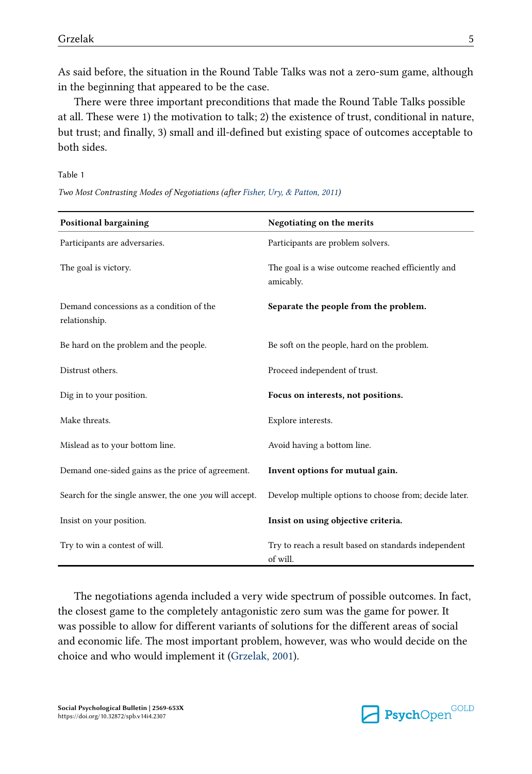<span id="page-4-0"></span>As said before, the situation in the Round Table Talks was not a zero-sum game, although in the beginning that appeared to be the case.

There were three important preconditions that made the Round Table Talks possible at all. These were 1) the motivation to talk; 2) the existence of trust, conditional in nature, but trust; and finally, 3) small and ill-defined but existing space of outcomes acceptable to both sides.

#### Table 1

Two Most Contrasting Modes of Negotiations (after [Fisher, Ury, & Patton, 2011](#page-11-0))

| <b>Positional bargaining</b>                              | Negotiating on the merits                                        |
|-----------------------------------------------------------|------------------------------------------------------------------|
| Participants are adversaries.                             | Participants are problem solvers.                                |
| The goal is victory.                                      | The goal is a wise outcome reached efficiently and<br>amicably.  |
| Demand concessions as a condition of the<br>relationship. | Separate the people from the problem.                            |
| Be hard on the problem and the people.                    | Be soft on the people, hard on the problem.                      |
| Distrust others.                                          | Proceed independent of trust.                                    |
| Dig in to your position.                                  | Focus on interests, not positions.                               |
| Make threats.                                             | Explore interests.                                               |
| Mislead as to your bottom line.                           | Avoid having a bottom line.                                      |
| Demand one-sided gains as the price of agreement.         | Invent options for mutual gain.                                  |
| Search for the single answer, the one you will accept.    | Develop multiple options to choose from; decide later.           |
| Insist on your position.                                  | Insist on using objective criteria.                              |
| Try to win a contest of will.                             | Try to reach a result based on standards independent<br>of will. |

The negotiations agenda included a very wide spectrum of possible outcomes. In fact, the closest game to the completely antagonistic zero sum was the game for power. It was possible to allow for different variants of solutions for the different areas of social and economic life. The most important problem, however, was who would decide on the choice and who would implement it [\(Grzelak, 2001](#page-11-0)).

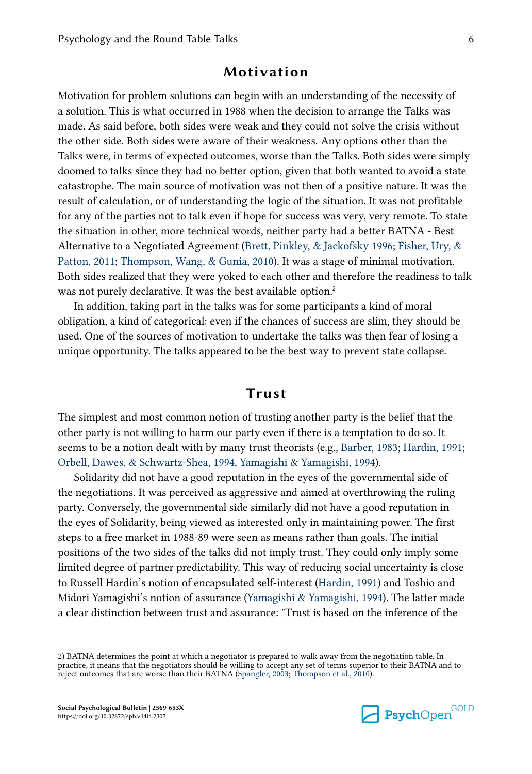## Motivation

Motivation for problem solutions can begin with an understanding of the necessity of a solution. This is what occurred in 1988 when the decision to arrange the Talks was made. As said before, both sides were weak and they could not solve the crisis without the other side. Both sides were aware of their weakness. Any options other than the Talks were, in terms of expected outcomes, worse than the Talks. Both sides were simply doomed to talks since they had no better option, given that both wanted to avoid a state catastrophe. The main source of motivation was not then of a positive nature. It was the result of calculation, or of understanding the logic of the situation. It was not profitable for any of the parties not to talk even if hope for success was very, very remote. To state the situation in other, more technical words, neither party had a better BATNA - Best Alternative to a Negotiated Agreement [\(Brett, Pinkley, & Jackofsky 1996; Fisher, Ury, &](#page-11-0) [Patton, 2011](#page-11-0); [Thompson, Wang, & Gunia, 2010\)](#page-12-0). It was a stage of minimal motivation. Both sides realized that they were yoked to each other and therefore the readiness to talk was not purely declarative. It was the best available option.<sup>2</sup>

In addition, taking part in the talks was for some participants a kind of moral obligation, a kind of categorical: even if the chances of success are slim, they should be used. One of the sources of motivation to undertake the talks was then fear of losing a unique opportunity. The talks appeared to be the best way to prevent state collapse.

### Trust

The simplest and most common notion of trusting another party is the belief that the other party is not willing to harm our party even if there is a temptation to do so. It seems to be a notion dealt with by many trust theorists (e.g., [Barber, 1983](#page-11-0); [Hardin, 1991;](#page-11-0) [Orbell, Dawes, & Schwartz-Shea, 1994](#page-12-0), [Yamagishi & Yamagishi, 1994](#page-12-0)).

Solidarity did not have a good reputation in the eyes of the governmental side of the negotiations. It was perceived as aggressive and aimed at overthrowing the ruling party. Conversely, the governmental side similarly did not have a good reputation in the eyes of Solidarity, being viewed as interested only in maintaining power. The first steps to a free market in 1988-89 were seen as means rather than goals. The initial positions of the two sides of the talks did not imply trust. They could only imply some limited degree of partner predictability. This way of reducing social uncertainty is close to Russell Hardin's notion of encapsulated self-interest [\(Hardin, 1991](#page-11-0)) and Toshio and Midori Yamagishi's notion of assurance ([Yamagishi & Yamagishi, 1994\)](#page-12-0). The latter made a clear distinction between trust and assurance: "Trust is based on the inference of the



<sup>2)</sup> BATNA determines the point at which a negotiator is prepared to walk away from the negotiation table. In practice, it means that the negotiators should be willing to accept any set of terms superior to their BATNA and to reject outcomes that are worse than their BATNA [\(Spangler, 2003;](#page-12-0) [Thompson et al., 2010](#page-12-0)).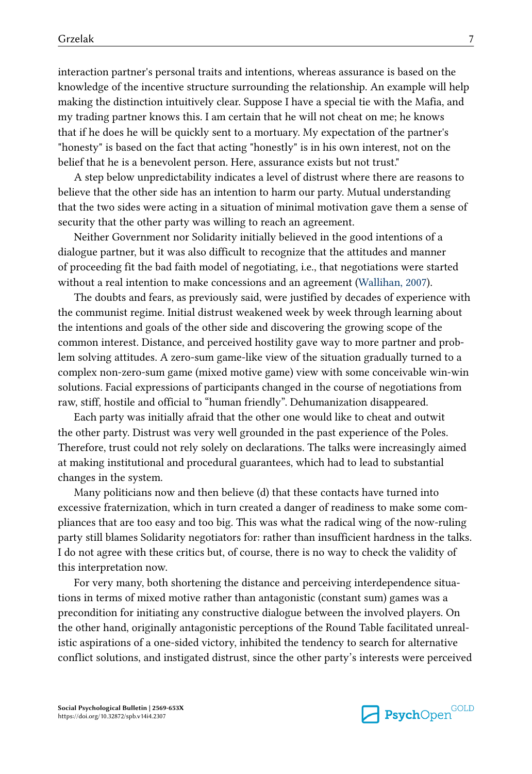interaction partner's personal traits and intentions, whereas assurance is based on the knowledge of the incentive structure surrounding the relationship. An example will help making the distinction intuitively clear. Suppose I have a special tie with the Mafia, and my trading partner knows this. I am certain that he will not cheat on me; he knows that if he does he will be quickly sent to a mortuary. My expectation of the partner's "honesty" is based on the fact that acting "honestly" is in his own interest, not on the belief that he is a benevolent person. Here, assurance exists but not trust."

A step below unpredictability indicates a level of distrust where there are reasons to believe that the other side has an intention to harm our party. Mutual understanding that the two sides were acting in a situation of minimal motivation gave them a sense of security that the other party was willing to reach an agreement.

Neither Government nor Solidarity initially believed in the good intentions of a dialogue partner, but it was also difficult to recognize that the attitudes and manner of proceeding fit the bad faith model of negotiating, i.e., that negotiations were started without a real intention to make concessions and an agreement [\(Wallihan, 2007](#page-12-0)).

The doubts and fears, as previously said, were justified by decades of experience with the communist regime. Initial distrust weakened week by week through learning about the intentions and goals of the other side and discovering the growing scope of the common interest. Distance, and perceived hostility gave way to more partner and prob‐ lem solving attitudes. A zero-sum game-like view of the situation gradually turned to a complex non-zero-sum game (mixed motive game) view with some conceivable win-win solutions. Facial expressions of participants changed in the course of negotiations from raw, stiff, hostile and official to "human friendly". Dehumanization disappeared.

Each party was initially afraid that the other one would like to cheat and outwit the other party. Distrust was very well grounded in the past experience of the Poles. Therefore, trust could not rely solely on declarations. The talks were increasingly aimed at making institutional and procedural guarantees, which had to lead to substantial changes in the system.

Many politicians now and then believe (d) that these contacts have turned into excessive fraternization, which in turn created a danger of readiness to make some compliances that are too easy and too big. This was what the radical wing of the now-ruling party still blames Solidarity negotiators for: rather than insufficient hardness in the talks. I do not agree with these critics but, of course, there is no way to check the validity of this interpretation now.

For very many, both shortening the distance and perceiving interdependence situations in terms of mixed motive rather than antagonistic (constant sum) games was a precondition for initiating any constructive dialogue between the involved players. On the other hand, originally antagonistic perceptions of the Round Table facilitated unreal‐ istic aspirations of a one-sided victory, inhibited the tendency to search for alternative conflict solutions, and instigated distrust, since the other party's interests were perceived

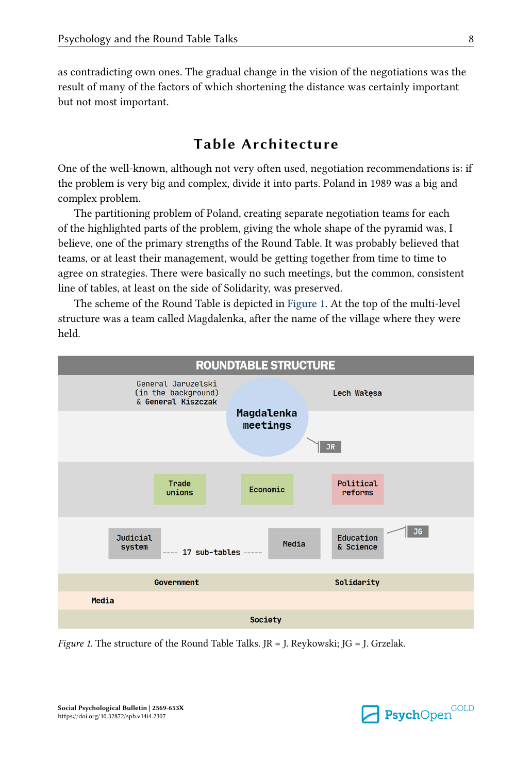as contradicting own ones. The gradual change in the vision of the negotiations was the result of many of the factors of which shortening the distance was certainly important but not most important.

### Table Architecture

One of the well-known, although not very often used, negotiation recommendations is: if the problem is very big and complex, divide it into parts. Poland in 1989 was a big and complex problem.

The partitioning problem of Poland, creating separate negotiation teams for each of the highlighted parts of the problem, giving the whole shape of the pyramid was, I believe, one of the primary strengths of the Round Table. It was probably believed that teams, or at least their management, would be getting together from time to time to agree on strategies. There were basically no such meetings, but the common, consistent line of tables, at least on the side of Solidarity, was preserved.

The scheme of the Round Table is depicted in Figure 1. At the top of the multi-level structure was a team called Magdalenka, after the name of the village where they were held.



Figure 1. The structure of the Round Table Talks. JR = J. Reykowski; JG = J. Grzelak.

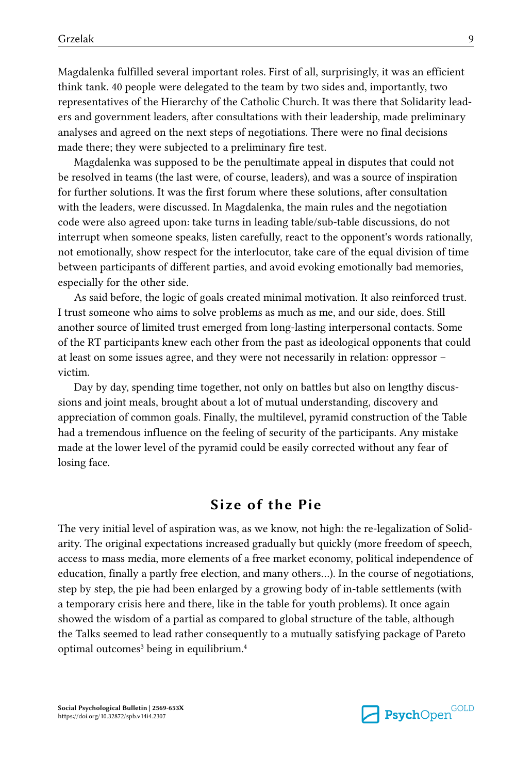Magdalenka fulfilled several important roles. First of all, surprisingly, it was an efficient think tank. 40 people were delegated to the team by two sides and, importantly, two representatives of the Hierarchy of the Catholic Church. It was there that Solidarity lead‐ ers and government leaders, after consultations with their leadership, made preliminary analyses and agreed on the next steps of negotiations. There were no final decisions made there; they were subjected to a preliminary fire test.

Magdalenka was supposed to be the penultimate appeal in disputes that could not be resolved in teams (the last were, of course, leaders), and was a source of inspiration for further solutions. It was the first forum where these solutions, after consultation with the leaders, were discussed. In Magdalenka, the main rules and the negotiation code were also agreed upon: take turns in leading table/sub-table discussions, do not interrupt when someone speaks, listen carefully, react to the opponent's words rationally, not emotionally, show respect for the interlocutor, take care of the equal division of time between participants of different parties, and avoid evoking emotionally bad memories, especially for the other side.

As said before, the logic of goals created minimal motivation. It also reinforced trust. I trust someone who aims to solve problems as much as me, and our side, does. Still another source of limited trust emerged from long-lasting interpersonal contacts. Some of the RT participants knew each other from the past as ideological opponents that could at least on some issues agree, and they were not necessarily in relation: oppressor – victim.

Day by day, spending time together, not only on battles but also on lengthy discussions and joint meals, brought about a lot of mutual understanding, discovery and appreciation of common goals. Finally, the multilevel, pyramid construction of the Table had a tremendous influence on the feeling of security of the participants. Any mistake made at the lower level of the pyramid could be easily corrected without any fear of losing face.

# Size of the Pie

The very initial level of aspiration was, as we know, not high: the re-legalization of Solid‐ arity. The original expectations increased gradually but quickly (more freedom of speech, access to mass media, more elements of a free market economy, political independence of education, finally a partly free election, and many others…). In the course of negotiations, step by step, the pie had been enlarged by a growing body of in-table settlements (with a temporary crisis here and there, like in the table for youth problems). It once again showed the wisdom of a partial as compared to global structure of the table, although the Talks seemed to lead rather consequently to a mutually satisfying package of Pareto optimal outcomes<sup>3</sup> being in equilibrium.<sup>4</sup>

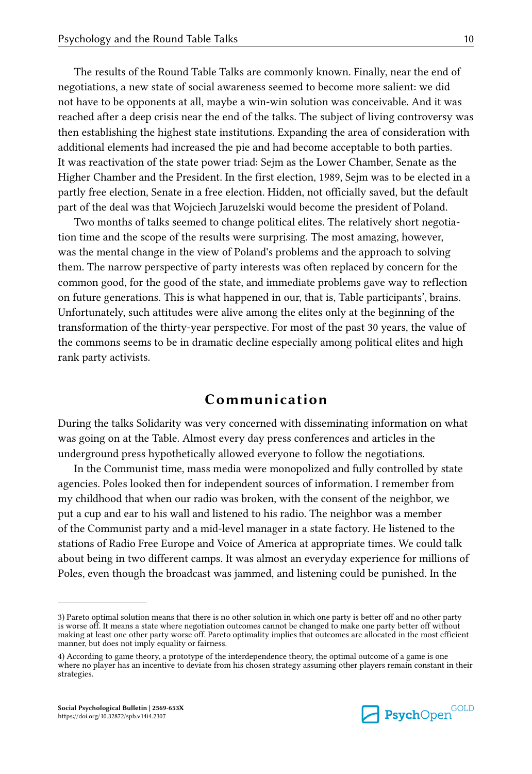The results of the Round Table Talks are commonly known. Finally, near the end of negotiations, a new state of social awareness seemed to become more salient: we did not have to be opponents at all, maybe a win-win solution was conceivable. And it was reached after a deep crisis near the end of the talks. The subject of living controversy was then establishing the highest state institutions. Expanding the area of consideration with additional elements had increased the pie and had become acceptable to both parties. It was reactivation of the state power triad: Sejm as the Lower Chamber, Senate as the Higher Chamber and the President. In the first election, 1989, Sejm was to be elected in a partly free election, Senate in a free election. Hidden, not officially saved, but the default part of the deal was that Wojciech Jaruzelski would become the president of Poland.

Two months of talks seemed to change political elites. The relatively short negotia‐ tion time and the scope of the results were surprising. The most amazing, however, was the mental change in the view of Poland's problems and the approach to solving them. The narrow perspective of party interests was often replaced by concern for the common good, for the good of the state, and immediate problems gave way to reflection on future generations. This is what happened in our, that is, Table participants', brains. Unfortunately, such attitudes were alive among the elites only at the beginning of the transformation of the thirty-year perspective. For most of the past 30 years, the value of the commons seems to be in dramatic decline especially among political elites and high rank party activists.

## Communication

During the talks Solidarity was very concerned with disseminating information on what was going on at the Table. Almost every day press conferences and articles in the underground press hypothetically allowed everyone to follow the negotiations.

In the Communist time, mass media were monopolized and fully controlled by state agencies. Poles looked then for independent sources of information. I remember from my childhood that when our radio was broken, with the consent of the neighbor, we put a cup and ear to his wall and listened to his radio. The neighbor was a member of the Communist party and a mid-level manager in a state factory. He listened to the stations of Radio Free Europe and Voice of America at appropriate times. We could talk about being in two different camps. It was almost an everyday experience for millions of Poles, even though the broadcast was jammed, and listening could be punished. In the



<sup>3)</sup> Pareto optimal solution means that there is no other solution in which one party is better off and no other party is worse off. It means a state where negotiation outcomes cannot be changed to make one party better off without making at least one other party worse off. Pareto optimality implies that outcomes are allocated in the most efficient manner, but does not imply equality or fairness.

<sup>4)</sup> According to game theory, a prototype of the interdependence theory, the optimal outcome of a game is one where no player has an incentive to deviate from his chosen strategy assuming other players remain constant in their strategies.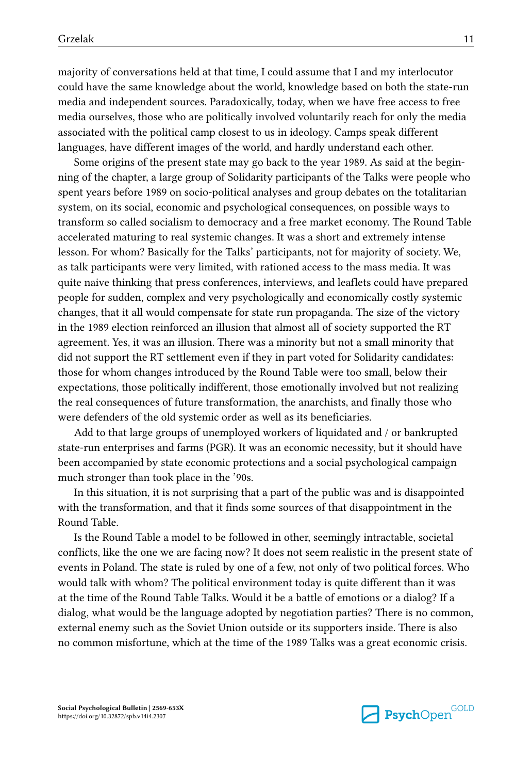majority of conversations held at that time, I could assume that I and my interlocutor could have the same knowledge about the world, knowledge based on both the state-run media and independent sources. Paradoxically, today, when we have free access to free media ourselves, those who are politically involved voluntarily reach for only the media associated with the political camp closest to us in ideology. Camps speak different languages, have different images of the world, and hardly understand each other.

Some origins of the present state may go back to the year 1989. As said at the beginning of the chapter, a large group of Solidarity participants of the Talks were people who spent years before 1989 on socio-political analyses and group debates on the totalitarian system, on its social, economic and psychological consequences, on possible ways to transform so called socialism to democracy and a free market economy. The Round Table accelerated maturing to real systemic changes. It was a short and extremely intense lesson. For whom? Basically for the Talks' participants, not for majority of society. We, as talk participants were very limited, with rationed access to the mass media. It was quite naive thinking that press conferences, interviews, and leaflets could have prepared people for sudden, complex and very psychologically and economically costly systemic changes, that it all would compensate for state run propaganda. The size of the victory in the 1989 election reinforced an illusion that almost all of society supported the RT agreement. Yes, it was an illusion. There was a minority but not a small minority that did not support the RT settlement even if they in part voted for Solidarity candidates: those for whom changes introduced by the Round Table were too small, below their expectations, those politically indifferent, those emotionally involved but not realizing the real consequences of future transformation, the anarchists, and finally those who were defenders of the old systemic order as well as its beneficiaries.

Add to that large groups of unemployed workers of liquidated and / or bankrupted state-run enterprises and farms (PGR). It was an economic necessity, but it should have been accompanied by state economic protections and a social psychological campaign much stronger than took place in the '90s.

In this situation, it is not surprising that a part of the public was and is disappointed with the transformation, and that it finds some sources of that disappointment in the Round Table.

Is the Round Table a model to be followed in other, seemingly intractable, societal conflicts, like the one we are facing now? It does not seem realistic in the present state of events in Poland. The state is ruled by one of a few, not only of two political forces. Who would talk with whom? The political environment today is quite different than it was at the time of the Round Table Talks. Would it be a battle of emotions or a dialog? If a dialog, what would be the language adopted by negotiation parties? There is no common, external enemy such as the Soviet Union outside or its supporters inside. There is also no common misfortune, which at the time of the 1989 Talks was a great economic crisis.

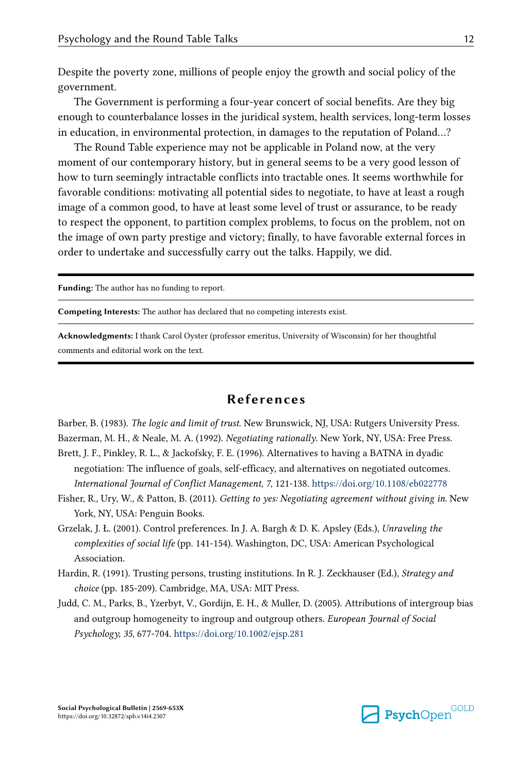<span id="page-11-0"></span>Despite the poverty zone, millions of people enjoy the growth and social policy of the government.

The Government is performing a four-year concert of social benefits. Are they big enough to counterbalance losses in the juridical system, health services, long-term losses in education, in environmental protection, in damages to the reputation of Poland…?

The Round Table experience may not be applicable in Poland now, at the very moment of our contemporary history, but in general seems to be a very good lesson of how to turn seemingly intractable conflicts into tractable ones. It seems worthwhile for favorable conditions: motivating all potential sides to negotiate, to have at least a rough image of a common good, to have at least some level of trust or assurance, to be ready to respect the opponent, to partition complex problems, to focus on the problem, not on the image of own party prestige and victory; finally, to have favorable external forces in order to undertake and successfully carry out the talks. Happily, we did.

Funding: The author has no funding to report.

Competing Interests: The author has declared that no competing interests exist.

Acknowledgments: I thank Carol Oyster (professor emeritus, University of Wisconsin) for her thoughtful comments and editorial work on the text.

## References

Barber, B. (1983). The logic and limit of trust. New Brunswick, NJ, USA: Rutgers University Press. Bazerman, M. H., & Neale, M. A. (1992). Negotiating rationally. New York, NY, USA: Free Press.

- Brett, J. F., Pinkley, R. L., & Jackofsky, F. E. (1996). Alternatives to having a BATNA in dyadic negotiation: The influence of goals, self-efficacy, and alternatives on negotiated outcomes. International Journal of Conflict Management, 7, 121-138. <https://doi.org/10.1108/eb022778>
- Fisher, R., Ury, W., & Patton, B. (2011). Getting to yes: Negotiating agreement without giving in. New York, NY, USA: Penguin Books.
- Grzelak, J. Ł. (2001). Control preferences. In J. A. Bargh & D. K. Apsley (Eds.), Unraveling the complexities of social life (pp. 141-154). Washington, DC, USA: American Psychological Association.
- Hardin, R. (1991). Trusting persons, trusting institutions. In R. J. Zeckhauser (Ed.), Strategy and choice (pp. 185-209). Cambridge, MA, USA: MIT Press.
- Judd, C. M., Parks, B., Yzerbyt, V., Gordijn, E. H., & Muller, D. (2005). Attributions of intergroup bias and outgroup homogeneity to ingroup and outgroup others. *European Journal of Social* Psychology, 35, 677-704.<https://doi.org/10.1002/ejsp.281>